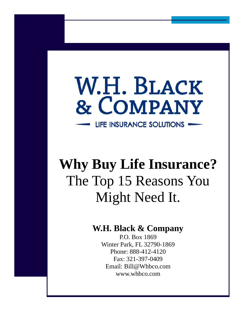## W.H. BLACK & COMPANY LIFE INSURANCE SOLUTIONS

**Why Buy Life Insurance?**  The Top 15 Reasons You Might Need It.

## **W.H. Black & Company**

P.O. Box 1869 Winter Park, FL 32790-1869 Phone: 888-412-4120 Fax: 321-397-0409 Email: Bill@Whbco.com www.whbco.com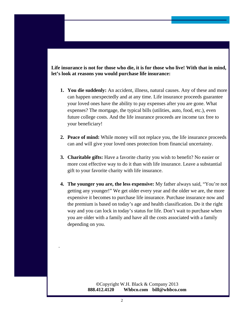## **Life insurance is not for those who die, it is for those who live! With that in mind, let's look at reasons you would purchase life insurance:**

- **1. You die suddenly:** An accident, illness, natural causes. Any of these and more can happen unexpectedly and at any time. Life insurance proceeds guarantee your loved ones have the ability to pay expenses after you are gone. What expenses? The mortgage, the typical bills (utilities, auto, food, etc.), even future college costs. And the life insurance proceeds are income tax free to your beneficiary!
- **2. Peace of mind:** While money will not replace you, the life insurance proceeds can and will give your loved ones protection from financial uncertainty.
- **3. Charitable gifts:** Have a favorite charity you wish to benefit? No easier or more cost effective way to do it than with life insurance. Leave a substantial gift to your favorite charity with life insurance.
- **4. The younger you are, the less expensive:** My father always said, "You're not getting any younger!" We get older every year and the older we are, the more expensive it becomes to purchase life insurance. Purchase insurance now and the premium is based on today's age and health classification. Do it the right way and you can lock in today's status for life. Don't wait to purchase when you are older with a family and have all the costs associated with a family depending on you.

**©**Copyright W.H. Black & Company 2013 **888.412.4120 Whbco.com bill@whbco.com** 

.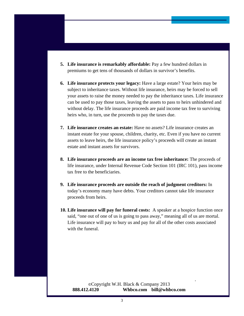- **5. Life insurance is remarkably affordable:** Pay a few hundred dollars in premiums to get tens of thousands of dollars in survivor's benefits.
- **6. Life insurance protects your legacy:** Have a large estate? Your heirs may be subject to inheritance taxes. Without life insurance, heirs may be forced to sell your assets to raise the money needed to pay the inheritance taxes. Life insurance can be used to pay those taxes, leaving the assets to pass to heirs unhindered and without delay. The life insurance proceeds are paid income tax free to surviving heirs who, in turn, use the proceeds to pay the taxes due.
- **7. Life insurance creates an estate:** Have no assets? Life insurance creates an instant estate for your spouse, children, charity, etc. Even if you have no current assets to leave heirs, the life insurance policy's proceeds will create an instant estate and instant assets for survivors.
- **8. Life insurance proceeds are an income tax free inheritance:** The proceeds of life insurance, under Internal Revenue Code Section 101 (IRC 101), pass income tax free to the beneficiaries.
- **9. Life insurance proceeds are outside the reach of judgment creditors:** In today's economy many have debts. Your creditors cannot take life insurance proceeds from heirs.
- **10. Life insurance will pay for funeral costs:** A speaker at a hospice function once said, "one out of one of us is going to pass away," meaning all of us are mortal. Life insurance will pay to bury us and pay for all of the other costs associated with the funeral.

.

**©**Copyright W.H. Black & Company 2013 **888.412.4120 Whbco.com bill@whbco.com**